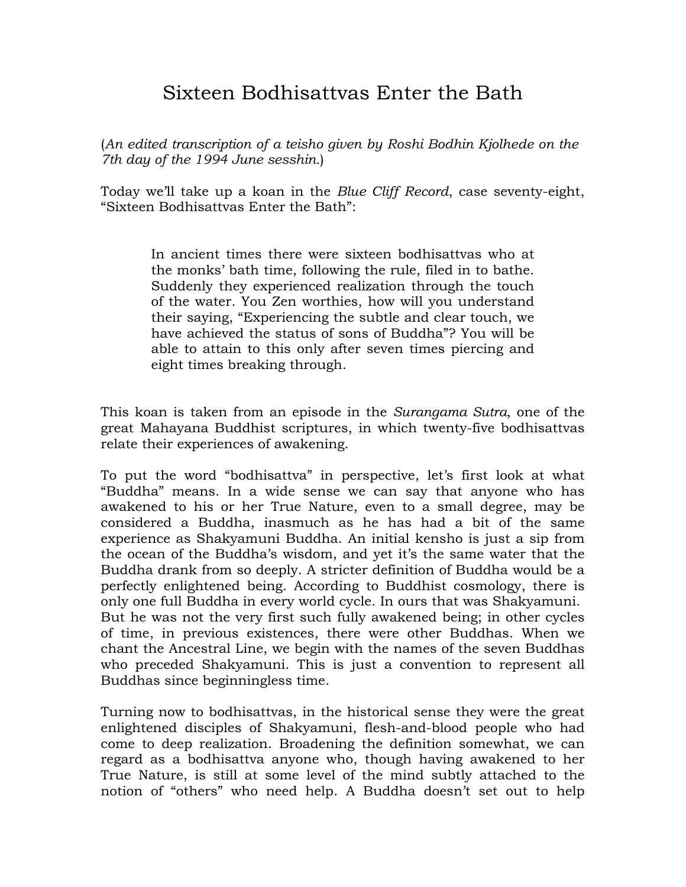## Sixteen Bodhisattvas Enter the Bath

(*An edited transcription of a teisho given by Roshi Bodhin Kjolhede on the 7th day of the 1994 June sesshin.*)

Today we'll take up a koan in the *Blue Cliff Record*, case seventy-eight, "Sixteen Bodhisattvas Enter the Bath":

> In ancient times there were sixteen bodhisattvas who at the monks' bath time, following the rule, filed in to bathe. Suddenly they experienced realization through the touch of the water. You Zen worthies, how will you understand their saying, "Experiencing the subtle and clear touch, we have achieved the status of sons of Buddha"? You will be able to attain to this only after seven times piercing and eight times breaking through.

This koan is taken from an episode in the *Surangama Sutra*, one of the great Mahayana Buddhist scriptures, in which twenty-five bodhisattvas relate their experiences of awakening.

To put the word "bodhisattva" in perspective, let's first look at what "Buddha" means. In a wide sense we can say that anyone who has awakened to his or her True Nature, even to a small degree, may be considered a Buddha, inasmuch as he has had a bit of the same experience as Shakyamuni Buddha. An initial kensho is just a sip from the ocean of the Buddha's wisdom, and yet it's the same water that the Buddha drank from so deeply. A stricter definition of Buddha would be a perfectly enlightened being. According to Buddhist cosmology, there is only one full Buddha in every world cycle. In ours that was Shakyamuni. But he was not the very first such fully awakened being; in other cycles of time, in previous existences, there were other Buddhas. When we chant the Ancestral Line, we begin with the names of the seven Buddhas who preceded Shakyamuni. This is just a convention to represent all Buddhas since beginningless time.

Turning now to bodhisattvas, in the historical sense they were the great enlightened disciples of Shakyamuni, flesh-and-blood people who had come to deep realization. Broadening the definition somewhat, we can regard as a bodhisattva anyone who, though having awakened to her True Nature, is still at some level of the mind subtly attached to the notion of "others" who need help. A Buddha doesn't set out to help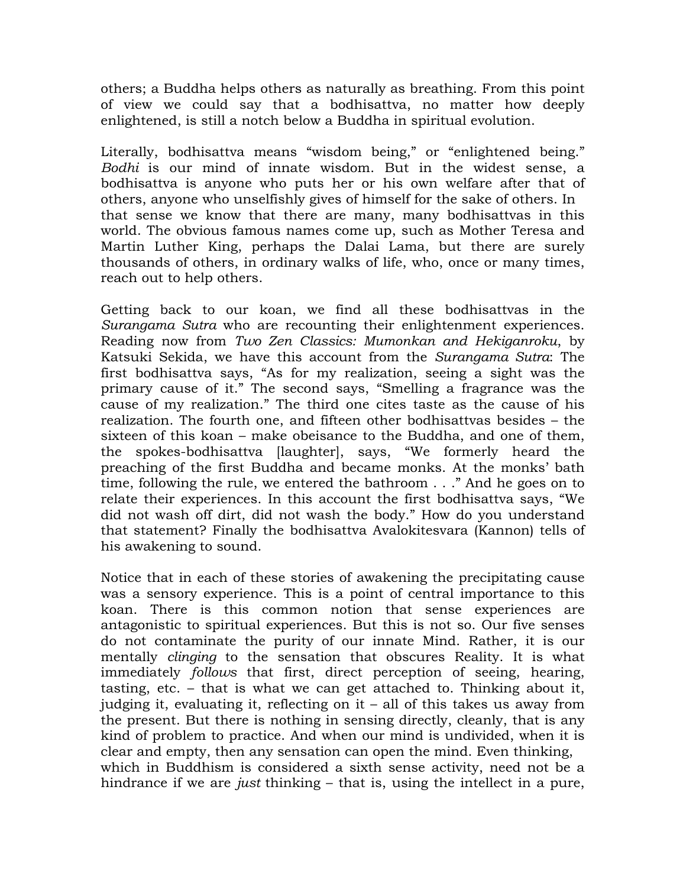others; a Buddha helps others as naturally as breathing. From this point of view we could say that a bodhisattva, no matter how deeply enlightened, is still a notch below a Buddha in spiritual evolution.

Literally, bodhisattva means "wisdom being," or "enlightened being." *Bodhi* is our mind of innate wisdom. But in the widest sense, a bodhisattva is anyone who puts her or his own welfare after that of others, anyone who unselfishly gives of himself for the sake of others. In that sense we know that there are many, many bodhisattvas in this world. The obvious famous names come up, such as Mother Teresa and Martin Luther King, perhaps the Dalai Lama, but there are surely thousands of others, in ordinary walks of life, who, once or many times, reach out to help others.

Getting back to our koan, we find all these bodhisattvas in the *Surangama Sutra* who are recounting their enlightenment experiences. Reading now from *Two Zen Classics: Mumonkan and Hekiganroku*, by Katsuki Sekida, we have this account from the *Surangama Sutra*: The first bodhisattva says, "As for my realization, seeing a sight was the primary cause of it." The second says, "Smelling a fragrance was the cause of my realization." The third one cites taste as the cause of his realization. The fourth one, and fifteen other bodhisattvas besides – the sixteen of this koan – make obeisance to the Buddha, and one of them, the spokes-bodhisattva [laughter], says, "We formerly heard the preaching of the first Buddha and became monks. At the monks' bath time, following the rule, we entered the bathroom . . ." And he goes on to relate their experiences. In this account the first bodhisattva says, "We did not wash off dirt, did not wash the body." How do you understand that statement? Finally the bodhisattva Avalokitesvara (Kannon) tells of his awakening to sound.

Notice that in each of these stories of awakening the precipitating cause was a sensory experience. This is a point of central importance to this koan. There is this common notion that sense experiences are antagonistic to spiritual experiences. But this is not so. Our five senses do not contaminate the purity of our innate Mind. Rather, it is our mentally *clinging* to the sensation that obscures Reality. It is what immediately *follows* that first, direct perception of seeing, hearing, tasting, etc. – that is what we can get attached to. Thinking about it, judging it, evaluating it, reflecting on it – all of this takes us away from the present. But there is nothing in sensing directly, cleanly, that is any kind of problem to practice. And when our mind is undivided, when it is clear and empty, then any sensation can open the mind. Even thinking, which in Buddhism is considered a sixth sense activity, need not be a hindrance if we are *just* thinking – that is, using the intellect in a pure,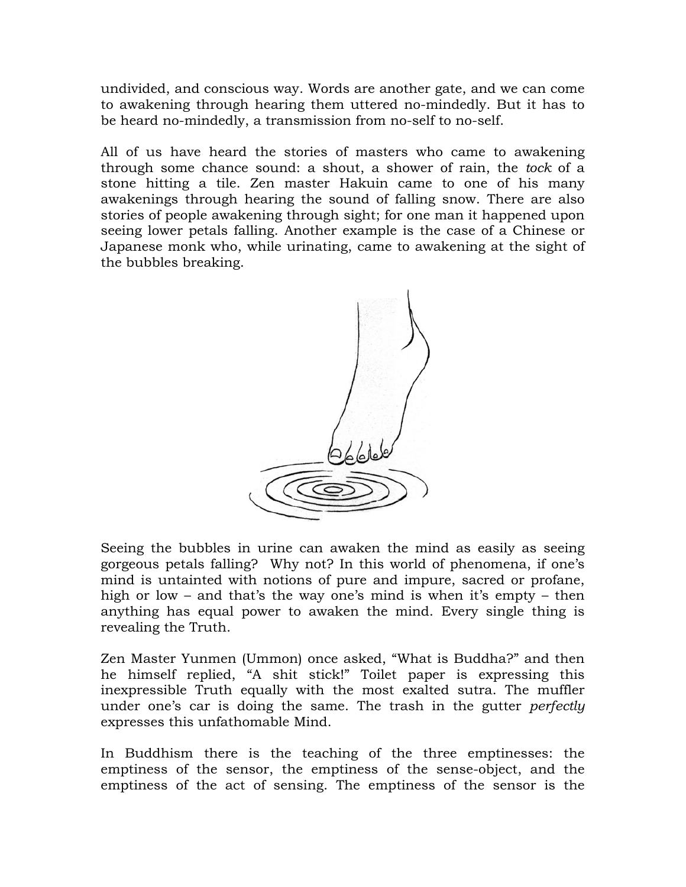undivided, and conscious way. Words are another gate, and we can come to awakening through hearing them uttered no-mindedly. But it has to be heard no-mindedly, a transmission from no-self to no-self.

All of us have heard the stories of masters who came to awakening through some chance sound: a shout, a shower of rain, the *tock* of a stone hitting a tile. Zen master Hakuin came to one of his many awakenings through hearing the sound of falling snow. There are also stories of people awakening through sight; for one man it happened upon seeing lower petals falling. Another example is the case of a Chinese or Japanese monk who, while urinating, came to awakening at the sight of the bubbles breaking.



Seeing the bubbles in urine can awaken the mind as easily as seeing gorgeous petals falling? Why not? In this world of phenomena, if one's mind is untainted with notions of pure and impure, sacred or profane, high or low – and that's the way one's mind is when it's empty – then anything has equal power to awaken the mind. Every single thing is revealing the Truth.

Zen Master Yunmen (Ummon) once asked, "What is Buddha?" and then he himself replied, "A shit stick!" Toilet paper is expressing this inexpressible Truth equally with the most exalted sutra. The muffler under one's car is doing the same. The trash in the gutter *perfectly* expresses this unfathomable Mind.

In Buddhism there is the teaching of the three emptinesses: the emptiness of the sensor, the emptiness of the sense-object, and the emptiness of the act of sensing. The emptiness of the sensor is the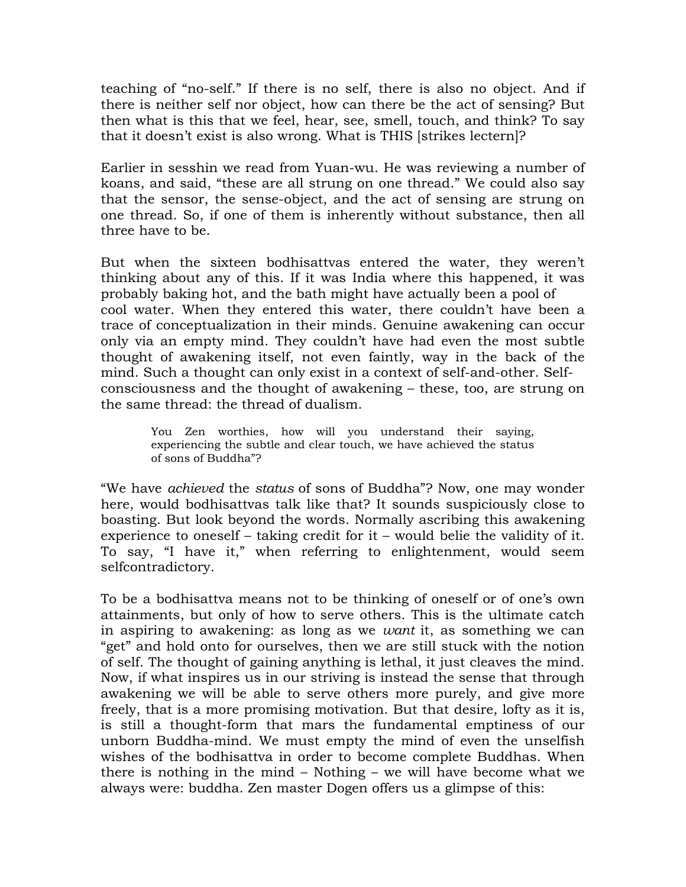teaching of "no-self." If there is no self, there is also no object. And if there is neither self nor object, how can there be the act of sensing? But then what is this that we feel, hear, see, smell, touch, and think? To say that it doesn't exist is also wrong. What is THIS [strikes lectern]?

Earlier in sesshin we read from Yuan-wu. He was reviewing a number of koans, and said, "these are all strung on one thread." We could also say that the sensor, the sense-object, and the act of sensing are strung on one thread. So, if one of them is inherently without substance, then all three have to be.

But when the sixteen bodhisattvas entered the water, they weren't thinking about any of this. If it was India where this happened, it was probably baking hot, and the bath might have actually been a pool of cool water. When they entered this water, there couldn't have been a trace of conceptualization in their minds. Genuine awakening can occur only via an empty mind. They couldn't have had even the most subtle thought of awakening itself, not even faintly, way in the back of the mind. Such a thought can only exist in a context of self-and-other. Selfconsciousness and the thought of awakening – these, too, are strung on the same thread: the thread of dualism.

> You Zen worthies, how will you understand their saying, experiencing the subtle and clear touch, we have achieved the status of sons of Buddha"?

"We have *achieved* the *status* of sons of Buddha"? Now, one may wonder here, would bodhisattvas talk like that? It sounds suspiciously close to boasting. But look beyond the words. Normally ascribing this awakening experience to oneself – taking credit for it – would belie the validity of it. To say, "I have it," when referring to enlightenment, would seem selfcontradictory.

To be a bodhisattva means not to be thinking of oneself or of one's own attainments, but only of how to serve others. This is the ultimate catch in aspiring to awakening: as long as we *want* it, as something we can "get" and hold onto for ourselves, then we are still stuck with the notion of self. The thought of gaining anything is lethal, it just cleaves the mind. Now, if what inspires us in our striving is instead the sense that through awakening we will be able to serve others more purely, and give more freely, that is a more promising motivation. But that desire, lofty as it is, is still a thought-form that mars the fundamental emptiness of our unborn Buddha-mind. We must empty the mind of even the unselfish wishes of the bodhisattva in order to become complete Buddhas. When there is nothing in the mind – Nothing – we will have become what we always were: buddha. Zen master Dogen offers us a glimpse of this: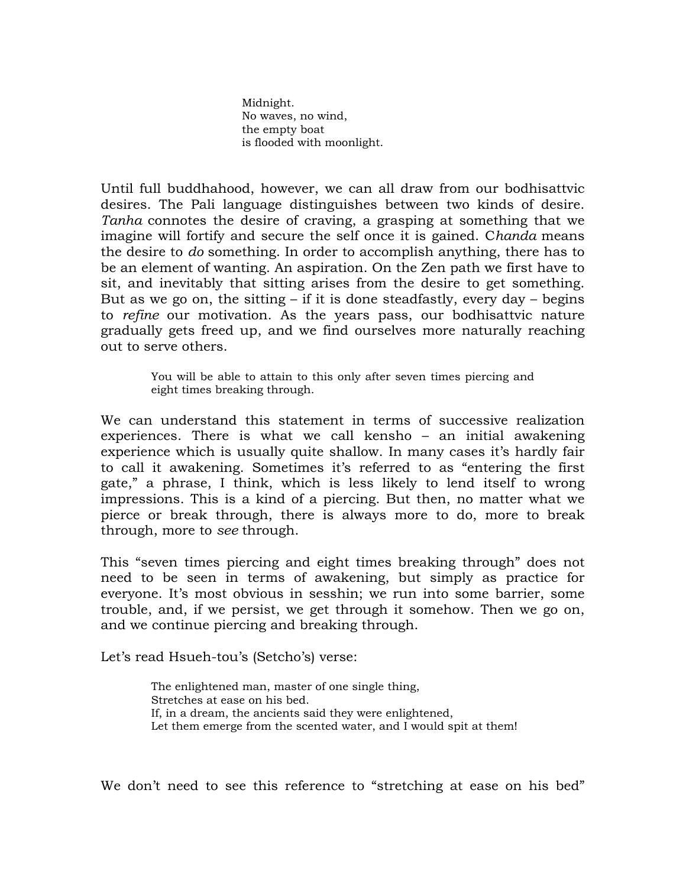Midnight. No waves, no wind, the empty boat is flooded with moonlight.

Until full buddhahood, however, we can all draw from our bodhisattvic desires. The Pali language distinguishes between two kinds of desire. *Tanha* connotes the desire of craving, a grasping at something that we imagine will fortify and secure the self once it is gained. C*handa* means the desire to *do* something. In order to accomplish anything, there has to be an element of wanting. An aspiration. On the Zen path we first have to sit, and inevitably that sitting arises from the desire to get something. But as we go on, the sitting  $-$  if it is done steadfastly, every day  $-$  begins to *refine* our motivation. As the years pass, our bodhisattvic nature gradually gets freed up, and we find ourselves more naturally reaching out to serve others.

> You will be able to attain to this only after seven times piercing and eight times breaking through.

We can understand this statement in terms of successive realization experiences. There is what we call kensho – an initial awakening experience which is usually quite shallow. In many cases it's hardly fair to call it awakening. Sometimes it's referred to as "entering the first gate," a phrase, I think, which is less likely to lend itself to wrong impressions. This is a kind of a piercing. But then, no matter what we pierce or break through, there is always more to do, more to break through, more to *see* through.

This "seven times piercing and eight times breaking through" does not need to be seen in terms of awakening, but simply as practice for everyone. It's most obvious in sesshin; we run into some barrier, some trouble, and, if we persist, we get through it somehow. Then we go on, and we continue piercing and breaking through.

Let's read Hsueh-tou's (Setcho's) verse:

The enlightened man, master of one single thing, Stretches at ease on his bed. If, in a dream, the ancients said they were enlightened, Let them emerge from the scented water, and I would spit at them!

We don't need to see this reference to "stretching at ease on his bed"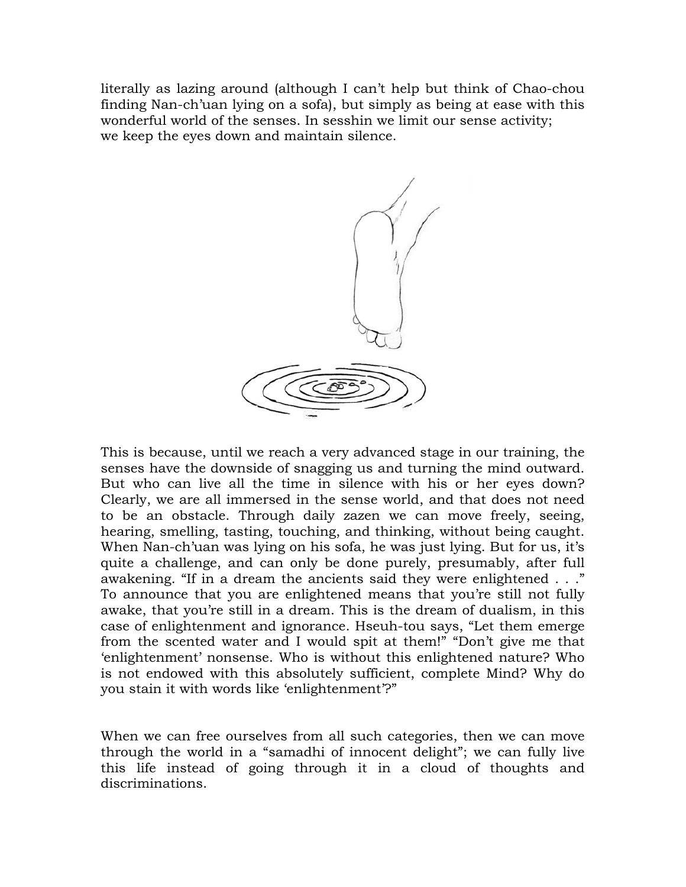literally as lazing around (although I can't help but think of Chao-chou finding Nan-ch'uan lying on a sofa), but simply as being at ease with this wonderful world of the senses. In sesshin we limit our sense activity; we keep the eyes down and maintain silence.



This is because, until we reach a very advanced stage in our training, the senses have the downside of snagging us and turning the mind outward. But who can live all the time in silence with his or her eyes down? Clearly, we are all immersed in the sense world, and that does not need to be an obstacle. Through daily zazen we can move freely, seeing, hearing, smelling, tasting, touching, and thinking, without being caught. When Nan-ch'uan was lying on his sofa, he was just lying. But for us, it's quite a challenge, and can only be done purely, presumably, after full awakening. "If in a dream the ancients said they were enlightened . . ." To announce that you are enlightened means that you're still not fully awake, that you're still in a dream. This is the dream of dualism, in this case of enlightenment and ignorance. Hseuh-tou says, "Let them emerge from the scented water and I would spit at them!" "Don't give me that 'enlightenment' nonsense. Who is without this enlightened nature? Who is not endowed with this absolutely sufficient, complete Mind? Why do you stain it with words like 'enlightenment'?"

When we can free ourselves from all such categories, then we can move through the world in a "samadhi of innocent delight"; we can fully live this life instead of going through it in a cloud of thoughts and discriminations.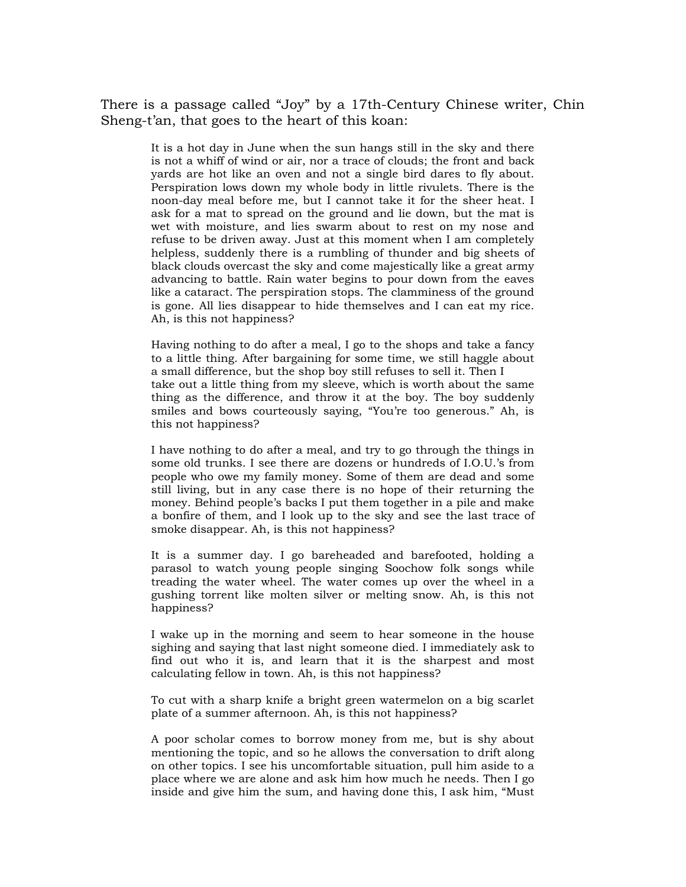There is a passage called "Joy" by a 17th-Century Chinese writer, Chin Sheng-t'an, that goes to the heart of this koan:

> It is a hot day in June when the sun hangs still in the sky and there is not a whiff of wind or air, nor a trace of clouds; the front and back yards are hot like an oven and not a single bird dares to fly about. Perspiration lows down my whole body in little rivulets. There is the noon-day meal before me, but I cannot take it for the sheer heat. I ask for a mat to spread on the ground and lie down, but the mat is wet with moisture, and lies swarm about to rest on my nose and refuse to be driven away. Just at this moment when I am completely helpless, suddenly there is a rumbling of thunder and big sheets of black clouds overcast the sky and come majestically like a great army advancing to battle. Rain water begins to pour down from the eaves like a cataract. The perspiration stops. The clamminess of the ground is gone. All lies disappear to hide themselves and I can eat my rice. Ah, is this not happiness?

> Having nothing to do after a meal, I go to the shops and take a fancy to a little thing. After bargaining for some time, we still haggle about a small difference, but the shop boy still refuses to sell it. Then I take out a little thing from my sleeve, which is worth about the same thing as the difference, and throw it at the boy. The boy suddenly smiles and bows courteously saying, "You're too generous." Ah, is this not happiness?

> I have nothing to do after a meal, and try to go through the things in some old trunks. I see there are dozens or hundreds of I.O.U.'s from people who owe my family money. Some of them are dead and some still living, but in any case there is no hope of their returning the money. Behind people's backs I put them together in a pile and make a bonfire of them, and I look up to the sky and see the last trace of smoke disappear. Ah, is this not happiness?

> It is a summer day. I go bareheaded and barefooted, holding a parasol to watch young people singing Soochow folk songs while treading the water wheel. The water comes up over the wheel in a gushing torrent like molten silver or melting snow. Ah, is this not happiness?

> I wake up in the morning and seem to hear someone in the house sighing and saying that last night someone died. I immediately ask to find out who it is, and learn that it is the sharpest and most calculating fellow in town. Ah, is this not happiness?

> To cut with a sharp knife a bright green watermelon on a big scarlet plate of a summer afternoon. Ah, is this not happiness?

> A poor scholar comes to borrow money from me, but is shy about mentioning the topic, and so he allows the conversation to drift along on other topics. I see his uncomfortable situation, pull him aside to a place where we are alone and ask him how much he needs. Then I go inside and give him the sum, and having done this, I ask him, "Must